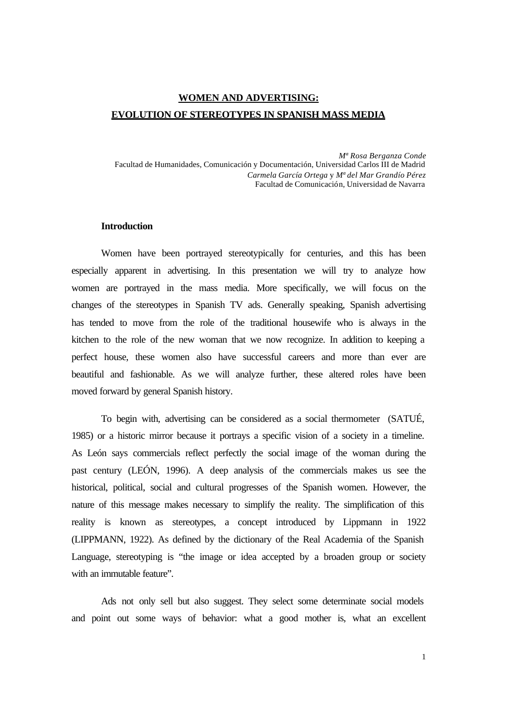# **WOMEN AND ADVERTISING: EVOLUTION OF STEREOTYPES IN SPANISH MASS MEDIA**

*Mª Rosa Berganza Conde*  Facultad de Humanidades, Comunicación y Documentación, Universidad Carlos III de Madrid *Carmela García Ortega* y *Mª del Mar Grandío Pérez*  Facultad de Comunicación, Universidad de Navarra

## **Introduction**

Women have been portrayed stereotypically for centuries, and this has been especially apparent in advertising. In this presentation we will try to analyze how women are portrayed in the mass media. More specifically, we will focus on the changes of the stereotypes in Spanish TV ads. Generally speaking, Spanish advertising has tended to move from the role of the traditional housewife who is always in the kitchen to the role of the new woman that we now recognize. In addition to keeping a perfect house, these women also have successful careers and more than ever are beautiful and fashionable. As we will analyze further, these altered roles have been moved forward by general Spanish history.

To begin with, advertising can be considered as a social thermometer (SATUÉ, 1985) or a historic mirror because it portrays a specific vision of a society in a timeline. As León says commercials reflect perfectly the social image of the woman during the past century (LEÓN, 1996). A deep analysis of the commercials makes us see the historical, political, social and cultural progresses of the Spanish women. However, the nature of this message makes necessary to simplify the reality. The simplification of this reality is known as stereotypes, a concept introduced by Lippmann in 1922 (LIPPMANN, 1922). As defined by the dictionary of the Real Academia of the Spanish Language, stereotyping is "the image or idea accepted by a broaden group or society with an immutable feature".

Ads not only sell but also suggest. They select some determinate social models and point out some ways of behavior: what a good mother is, what an excellent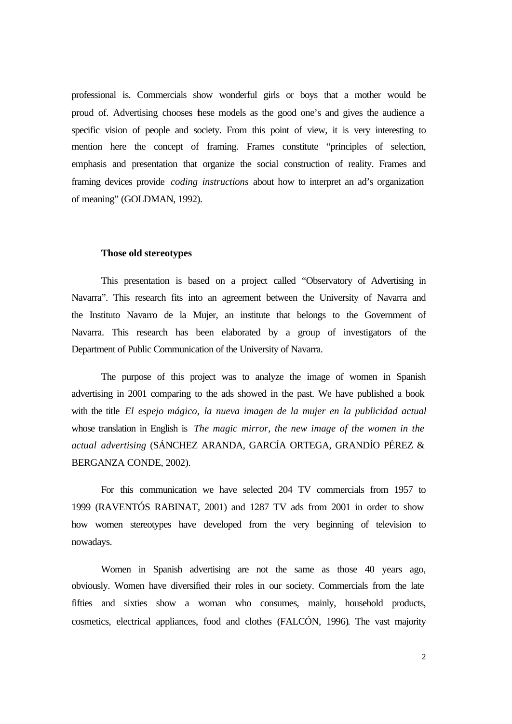professional is. Commercials show wonderful girls or boys that a mother would be proud of. Advertising chooses these models as the good one's and gives the audience a specific vision of people and society. From this point of view, it is very interesting to mention here the concept of framing. Frames constitute "principles of selection, emphasis and presentation that organize the social construction of reality. Frames and framing devices provide *coding instructions* about how to interpret an ad's organization of meaning" (GOLDMAN, 1992).

### **Those old stereotypes**

This presentation is based on a project called "Observatory of Advertising in Navarra". This research fits into an agreement between the University of Navarra and the Instituto Navarro de la Mujer, an institute that belongs to the Government of Navarra. This research has been elaborated by a group of investigators of the Department of Public Communication of the University of Navarra.

The purpose of this project was to analyze the image of women in Spanish advertising in 2001 comparing to the ads showed in the past. We have published a book with the title *El espejo mágico*, *la nueva imagen de la mujer en la publicidad actual* whose translation in English is *The magic mirror, the new image of the women in the actual advertising* (SÁNCHEZ ARANDA, GARCÍA ORTEGA, GRANDÍO PÉREZ & BERGANZA CONDE, 2002).

For this communication we have selected 204 TV commercials from 1957 to 1999 (RAVENTÓS RABINAT, 2001) and 1287 TV ads from 2001 in order to show how women stereotypes have developed from the very beginning of television to nowadays.

Women in Spanish advertising are not the same as those 40 years ago, obviously. Women have diversified their roles in our society. Commercials from the late fifties and sixties show a woman who consumes, mainly, household products, cosmetics, electrical appliances, food and clothes (FALCÓN, 1996). The vast majority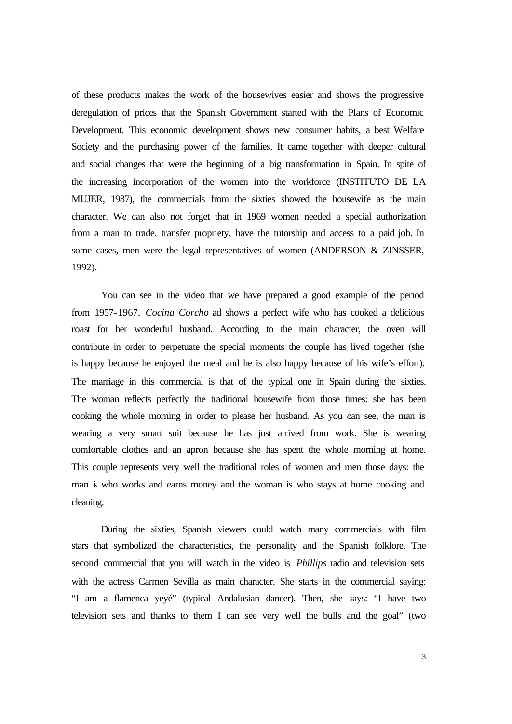of these products makes the work of the housewives easier and shows the progressive deregulation of prices that the Spanish Government started with the Plans of Economic Development. This economic development shows new consumer habits, a best Welfare Society and the purchasing power of the families. It came together with deeper cultural and social changes that were the beginning of a big transformation in Spain. In spite of the increasing incorporation of the women into the workforce (INSTITUTO DE LA MUJER, 1987), the commercials from the sixties showed the housewife as the main character. We can also not forget that in 1969 women needed a special authorization from a man to trade, transfer propriety, have the tutorship and access to a paid job. In some cases, men were the legal representatives of women (ANDERSON & ZINSSER, 1992).

You can see in the video that we have prepared a good example of the period from 1957-1967. *Cocina Corcho* ad shows a perfect wife who has cooked a delicious roast for her wonderful husband. According to the main character, the oven will contribute in order to perpetuate the special moments the couple has lived together (she is happy because he enjoyed the meal and he is also happy because of his wife's effort). The marriage in this commercial is that of the typical one in Spain during the sixties. The woman reflects perfectly the traditional housewife from those times: she has been cooking the whole morning in order to please her husband. As you can see, the man is wearing a very smart suit because he has just arrived from work. She is wearing comfortable clothes and an apron because she has spent the whole morning at home. This couple represents very well the traditional roles of women and men those days: the man is who works and earns money and the woman is who stays at home cooking and cleaning.

During the sixties, Spanish viewers could watch many commercials with film stars that symbolized the characteristics, the personality and the Spanish folklore. The second commercial that you will watch in the video is *Phillips* radio and television sets with the actress Carmen Sevilla as main character. She starts in the commercial saying: "I am a flamenca yeyé" (typical Andalusian dancer). Then, she says: "I have two television sets and thanks to them I can see very well the bulls and the goal" (two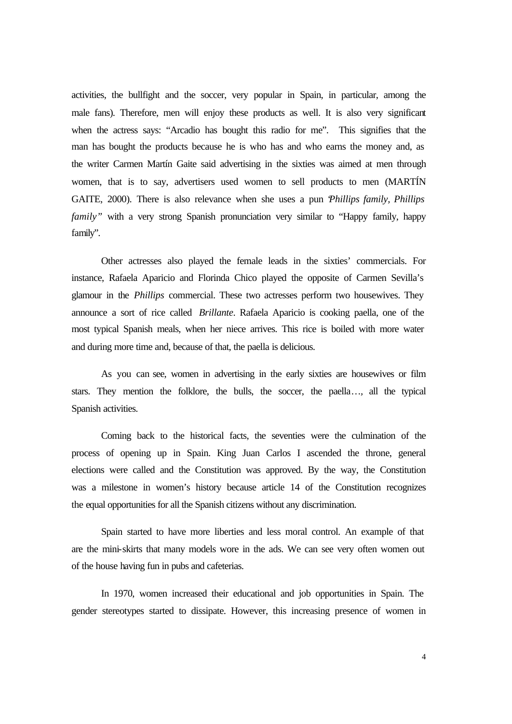activities, the bullfight and the soccer, very popular in Spain, in particular, among the male fans). Therefore, men will enjoy these products as well. It is also very significant when the actress says: "Arcadio has bought this radio for me". This signifies that the man has bought the products because he is who has and who earns the money and, as the writer Carmen Martín Gaite said advertising in the sixties was aimed at men through women, that is to say, advertisers used women to sell products to men (MARTÍN GAITE, 2000). There is also relevance when she uses a pun "*Phillips family, Phillips family*" with a very strong Spanish pronunciation very similar to "Happy family, happy family".

Other actresses also played the female leads in the sixties' commercials. For instance, Rafaela Aparicio and Florinda Chico played the opposite of Carmen Sevilla's glamour in the *Phillips* commercial. These two actresses perform two housewives. They announce a sort of rice called *Brillante*. Rafaela Aparicio is cooking paella, one of the most typical Spanish meals, when her niece arrives. This rice is boiled with more water and during more time and, because of that, the paella is delicious.

As you can see, women in advertising in the early sixties are housewives or film stars. They mention the folklore, the bulls, the soccer, the paella*…,* all the typical Spanish activities.

Coming back to the historical facts, the seventies were the culmination of the process of opening up in Spain. King Juan Carlos I ascended the throne, general elections were called and the Constitution was approved. By the way, the Constitution was a milestone in women's history because article 14 of the Constitution recognizes the equal opportunities for all the Spanish citizens without any discrimination.

Spain started to have more liberties and less moral control. An example of that are the mini-skirts that many models wore in the ads. We can see very often women out of the house having fun in pubs and cafeterias.

In 1970, women increased their educational and job opportunities in Spain. The gender stereotypes started to dissipate. However, this increasing presence of women in

4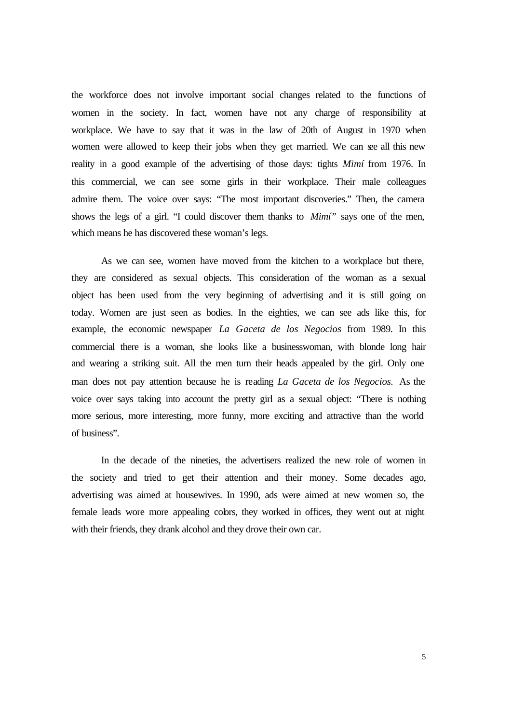the workforce does not involve important social changes related to the functions of women in the society. In fact, women have not any charge of responsibility at workplace. We have to say that it was in the law of 20th of August in 1970 when women were allowed to keep their jobs when they get married. We can see all this new reality in a good example of the advertising of those days: tights *Mimí* from 1976. In this commercial, we can see some girls in their workplace. Their male colleagues admire them. The voice over says: "The most important discoveries." Then, the camera shows the legs of a girl. "I could discover them thanks to *Mimí"* says one of the men, which means he has discovered these woman's legs.

As we can see, women have moved from the kitchen to a workplace but there, they are considered as sexual objects. This consideration of the woman as a sexual object has been used from the very beginning of advertising and it is still going on today. Women are just seen as bodies. In the eighties, we can see ads like this, for example, the economic newspaper *La Gaceta de los Negocios* from 1989. In this commercial there is a woman, she looks like a businesswoman, with blonde long hair and wearing a striking suit. All the men turn their heads appealed by the girl. Only one man does not pay attention because he is reading *La Gaceta de los Negocios.* As the voice over says taking into account the pretty girl as a sexual object: "There is nothing more serious, more interesting, more funny, more exciting and attractive than the world of business".

In the decade of the nineties, the advertisers realized the new role of women in the society and tried to get their attention and their money. Some decades ago, advertising was aimed at housewives. In 1990, ads were aimed at new women so, the female leads wore more appealing colors, they worked in offices, they went out at night with their friends, they drank alcohol and they drove their own car.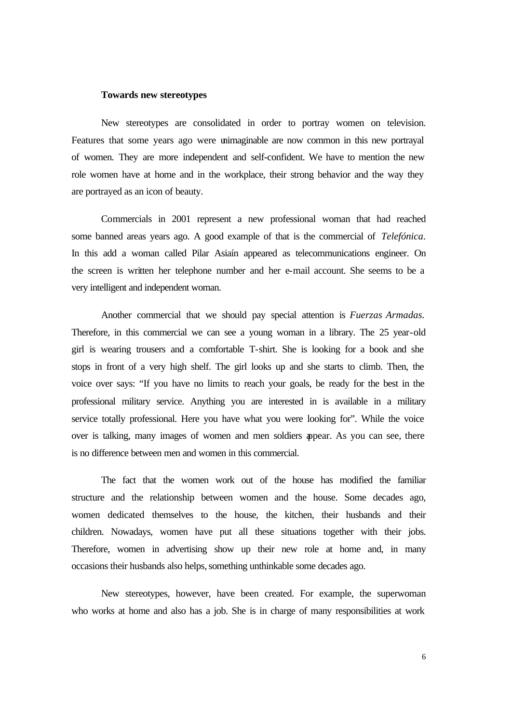#### **Towards new stereotypes**

New stereotypes are consolidated in order to portray women on television. Features that some years ago were unimaginable are now common in this new portrayal of women. They are more independent and self-confident. We have to mention the new role women have at home and in the workplace, their strong behavior and the way they are portrayed as an icon of beauty.

Commercials in 2001 represent a new professional woman that had reached some banned areas years ago. A good example of that is the commercial of *Telefónica*. In this add a woman called Pilar Asiaín appeared as telecommunications engineer. On the screen is written her telephone number and her e-mail account. She seems to be a very intelligent and independent woman.

Another commercial that we should pay special attention is *Fuerzas Armadas.*  Therefore, in this commercial we can see a young woman in a library. The 25 year-old girl is wearing trousers and a comfortable T-shirt. She is looking for a book and she stops in front of a very high shelf. The girl looks up and she starts to climb. Then, the voice over says: "If you have no limits to reach your goals, be ready for the best in the professional military service. Anything you are interested in is available in a military service totally professional. Here you have what you were looking for". While the voice over is talking, many images of women and men soldiers appear. As you can see, there is no difference between men and women in this commercial.

The fact that the women work out of the house has modified the familiar structure and the relationship between women and the house. Some decades ago, women dedicated themselves to the house, the kitchen, their husbands and their children. Nowadays, women have put all these situations together with their jobs. Therefore, women in advertising show up their new role at home and, in many occasions their husbands also helps, something unthinkable some decades ago.

New stereotypes, however, have been created. For example, the superwoman who works at home and also has a job. She is in charge of many responsibilities at work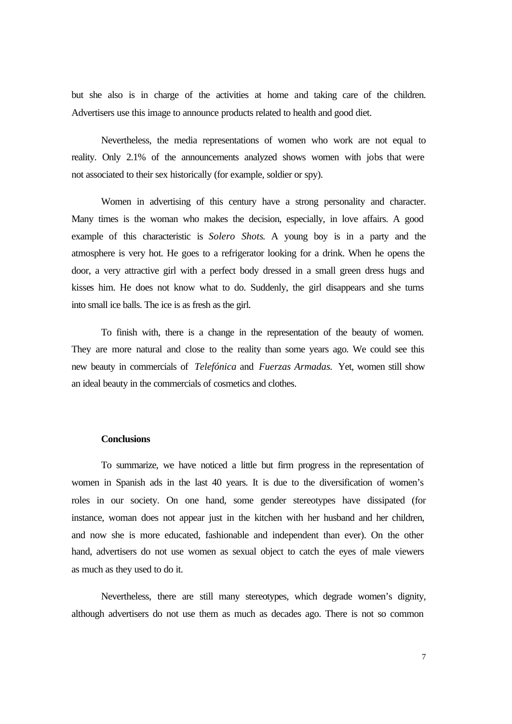but she also is in charge of the activities at home and taking care of the children. Advertisers use this image to announce products related to health and good diet.

Nevertheless, the media representations of women who work are not equal to reality. Only 2.1% of the announcements analyzed shows women with jobs that were not associated to their sex historically (for example, soldier or spy).

Women in advertising of this century have a strong personality and character. Many times is the woman who makes the decision, especially, in love affairs. A good example of this characteristic is *Solero Shots*. A young boy is in a party and the atmosphere is very hot. He goes to a refrigerator looking for a drink. When he opens the door, a very attractive girl with a perfect body dressed in a small green dress hugs and kisses him. He does not know what to do. Suddenly, the girl disappears and she turns into small ice balls. The ice is as fresh as the girl.

To finish with, there is a change in the representation of the beauty of women. They are more natural and close to the reality than some years ago. We could see this new beauty in commercials of *Telefónica* and *Fuerzas Armadas.* Yet, women still show an ideal beauty in the commercials of cosmetics and clothes.

## **Conclusions**

To summarize, we have noticed a little but firm progress in the representation of women in Spanish ads in the last 40 years. It is due to the diversification of women's roles in our society. On one hand, some gender stereotypes have dissipated (for instance, woman does not appear just in the kitchen with her husband and her children, and now she is more educated, fashionable and independent than ever). On the other hand, advertisers do not use women as sexual object to catch the eyes of male viewers as much as they used to do it.

Nevertheless, there are still many stereotypes, which degrade women's dignity, although advertisers do not use them as much as decades ago. There is not so common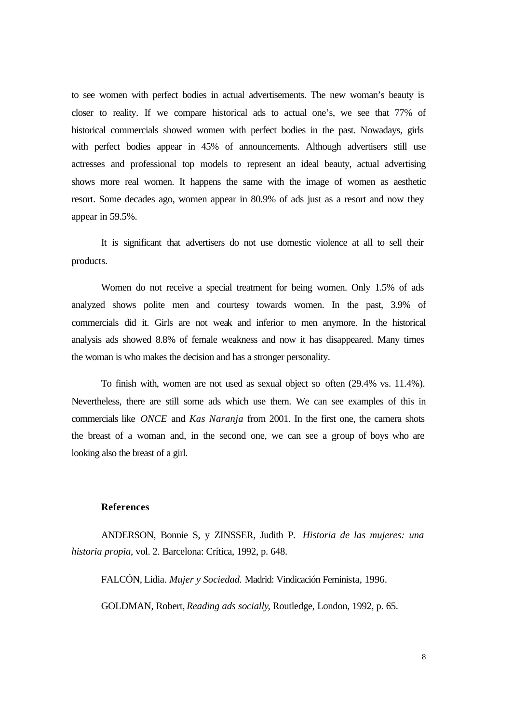to see women with perfect bodies in actual advertisements. The new woman's beauty is closer to reality. If we compare historical ads to actual one's, we see that 77% of historical commercials showed women with perfect bodies in the past. Nowadays, girls with perfect bodies appear in 45% of announcements. Although advertisers still use actresses and professional top models to represent an ideal beauty, actual advertising shows more real women. It happens the same with the image of women as aesthetic resort. Some decades ago, women appear in 80.9% of ads just as a resort and now they appear in 59.5%.

It is significant that advertisers do not use domestic violence at all to sell their products.

Women do not receive a special treatment for being women. Only 1.5% of ads analyzed shows polite men and courtesy towards women. In the past, 3.9% of commercials did it. Girls are not weak and inferior to men anymore. In the historical analysis ads showed 8.8% of female weakness and now it has disappeared. Many times the woman is who makes the decision and has a stronger personality.

To finish with, women are not used as sexual object so often (29.4% vs. 11.4%). Nevertheless, there are still some ads which use them. We can see examples of this in commercials like *ONCE* and *Kas Naranja* from 2001. In the first one, the camera shots the breast of a woman and, in the second one, we can see a group of boys who are looking also the breast of a girl.

## **References**

ANDERSON, Bonnie S, y ZINSSER, Judith P. *Historia de las mujeres: una historia propia*, vol. 2. Barcelona: Crítica, 1992, p. 648.

FALCÓN, Lidia. *Mujer y Sociedad.* Madrid: Vindicación Feminista, 1996.

GOLDMAN, Robert, *Reading ads socially*, Routledge, London, 1992, p. 65.

8